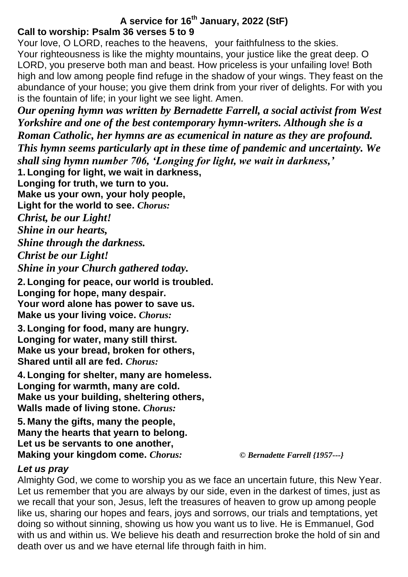## **A service for 16th January, 2022 (StF) Call to worship: Psalm 36 verses 5 to 9**

Your love, O LORD, reaches to the heavens, your faithfulness to the skies. Your righteousness is like the mighty mountains, your justice like the great deep. O LORD, you preserve both man and beast. How priceless is your unfailing love! Both high and low among people find refuge in the shadow of your wings. They feast on the abundance of your house; you give them drink from your river of delights. For with you is the fountain of life; in your light we see light. Amen.

*Our opening hymn was written by Bernadette Farrell, a social activist from West Yorkshire and one of the best contemporary hymn-writers. Although she is a Roman Catholic, her hymns are as ecumenical in nature as they are profound. This hymn seems particularly apt in these time of pandemic and uncertainty. We shall sing hymn number 706, 'Longing for light, we wait in darkness,'* **1. Longing for light, we wait in darkness, Longing for truth, we turn to you. Make us your own, your holy people, Light for the world to see.** *Chorus: Christ, be our Light!*

*Shine in our hearts, Shine through the darkness. Christ be our Light! Shine in your Church gathered today.*

**2. Longing for peace, our world is troubled. Longing for hope, many despair. Your word alone has power to save us. Make us your living voice.** *Chorus:*

**3. Longing for food, many are hungry. Longing for water, many still thirst. Make us your bread, broken for others, Shared until all are fed.** *Chorus:*

**4. Longing for shelter, many are homeless. Longing for warmth, many are cold. Make us your building, sheltering others, Walls made of living stone.** *Chorus:*

**5. Many the gifts, many the people, Many the hearts that yearn to belong. Let us be servants to one another, Making your kingdom come.** *Chorus: © Bernadette Farrell {1957---}*

# *Let us pray*

Almighty God, we come to worship you as we face an uncertain future, this New Year. Let us remember that you are always by our side, even in the darkest of times, just as we recall that your son, Jesus, left the treasures of heaven to grow up among people like us, sharing our hopes and fears, joys and sorrows, our trials and temptations, yet doing so without sinning, showing us how you want us to live. He is Emmanuel, God with us and within us. We believe his death and resurrection broke the hold of sin and death over us and we have eternal life through faith in him.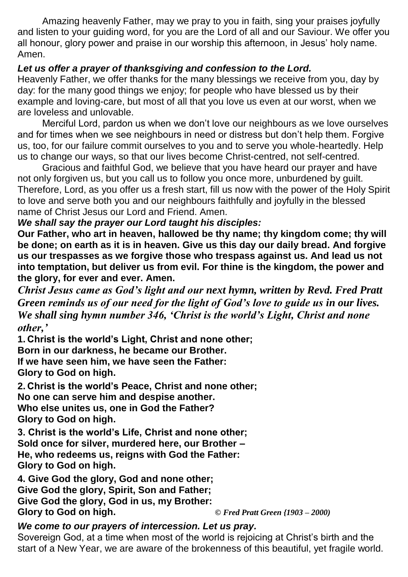Amazing heavenly Father, may we pray to you in faith, sing your praises joyfully and listen to your guiding word, for you are the Lord of all and our Saviour. We offer you all honour, glory power and praise in our worship this afternoon, in Jesus' holy name. Amen.

## *Let us offer a prayer of thanksgiving and confession to the Lord.*

Heavenly Father, we offer thanks for the many blessings we receive from you, day by day: for the many good things we enjoy; for people who have blessed us by their example and loving-care, but most of all that you love us even at our worst, when we are loveless and unlovable.

Merciful Lord, pardon us when we don't love our neighbours as we love ourselves and for times when we see neighbours in need or distress but don't help them. Forgive us, too, for our failure commit ourselves to you and to serve you whole-heartedly. Help us to change our ways, so that our lives become Christ-centred, not self-centred.

Gracious and faithful God, we believe that you have heard our prayer and have not only forgiven us, but you call us to follow you once more, unburdened by guilt. Therefore, Lord, as you offer us a fresh start, fill us now with the power of the Holy Spirit to love and serve both you and our neighbours faithfully and joyfully in the blessed name of Christ Jesus our Lord and Friend. Amen.

### *We shall say the prayer our Lord taught his disciples:*

**Our Father, who art in heaven, hallowed be thy name; thy kingdom come; thy will be done; on earth as it is in heaven. Give us this day our daily bread. And forgive us our trespasses as we forgive those who trespass against us. And lead us not into temptation, but deliver us from evil. For thine is the kingdom, the power and the glory, for ever and ever. Amen.**

*Christ Jesus came as God's light and our next hymn, written by Revd. Fred Pratt Green reminds us of our need for the light of God's love to guide us in our lives. We shall sing hymn number 346, 'Christ is the world's Light, Christ and none other,'*

**1. Christ is the world's Light, Christ and none other;**

**Born in our darkness, he became our Brother.**

**If we have seen him, we have seen the Father: Glory to God on high.**

**2. Christ is the world's Peace, Christ and none other; No one can serve him and despise another. Who else unites us, one in God the Father? Glory to God on high.**

**3. Christ is the world's Life, Christ and none other; Sold once for silver, murdered here, our Brother – He, who redeems us, reigns with God the Father: Glory to God on high.** 

**4. Give God the glory, God and none other; Give God the glory, Spirit, Son and Father; Give God the glory, God in us, my Brother: Glory to God on high.** *© Fred Pratt Green {1903 – 2000)*

#### *We come to our prayers of intercession. Let us pray.* Sovereign God, at a time when most of the world is rejoicing at Christ's birth and the start of a New Year, we are aware of the brokenness of this beautiful, yet fragile world.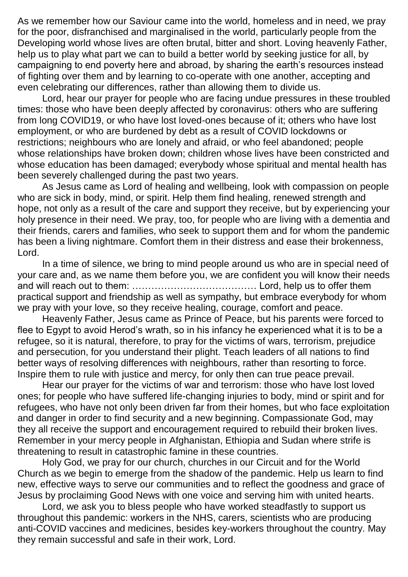As we remember how our Saviour came into the world, homeless and in need, we pray for the poor, disfranchised and marginalised in the world, particularly people from the Developing world whose lives are often brutal, bitter and short. Loving heavenly Father, help us to play what part we can to build a better world by seeking justice for all, by campaigning to end poverty here and abroad, by sharing the earth's resources instead of fighting over them and by learning to co-operate with one another, accepting and even celebrating our differences, rather than allowing them to divide us.

Lord, hear our prayer for people who are facing undue pressures in these troubled times: those who have been deeply affected by coronavirus: others who are suffering from long COVID19, or who have lost loved-ones because of it; others who have lost employment, or who are burdened by debt as a result of COVID lockdowns or restrictions; neighbours who are lonely and afraid, or who feel abandoned; people whose relationships have broken down; children whose lives have been constricted and whose education has been damaged; everybody whose spiritual and mental health has been severely challenged during the past two years.

As Jesus came as Lord of healing and wellbeing, look with compassion on people who are sick in body, mind, or spirit. Help them find healing, renewed strength and hope, not only as a result of the care and support they receive, but by experiencing your holy presence in their need. We pray, too, for people who are living with a dementia and their friends, carers and families, who seek to support them and for whom the pandemic has been a living nightmare. Comfort them in their distress and ease their brokenness, Lord.

In a time of silence, we bring to mind people around us who are in special need of your care and, as we name them before you, we are confident you will know their needs and will reach out to them: ………………………………… Lord, help us to offer them practical support and friendship as well as sympathy, but embrace everybody for whom we pray with your love, so they receive healing, courage, comfort and peace.

Heavenly Father, Jesus came as Prince of Peace, but his parents were forced to flee to Egypt to avoid Herod's wrath, so in his infancy he experienced what it is to be a refugee, so it is natural, therefore, to pray for the victims of wars, terrorism, prejudice and persecution, for you understand their plight. Teach leaders of all nations to find better ways of resolving differences with neighbours, rather than resorting to force. Inspire them to rule with justice and mercy, for only then can true peace prevail.

Hear our prayer for the victims of war and terrorism: those who have lost loved ones; for people who have suffered life-changing injuries to body, mind or spirit and for refugees, who have not only been driven far from their homes, but who face exploitation and danger in order to find security and a new beginning. Compassionate God, may they all receive the support and encouragement required to rebuild their broken lives. Remember in your mercy people in Afghanistan, Ethiopia and Sudan where strife is threatening to result in catastrophic famine in these countries.

Holy God, we pray for our church, churches in our Circuit and for the World Church as we begin to emerge from the shadow of the pandemic. Help us learn to find new, effective ways to serve our communities and to reflect the goodness and grace of Jesus by proclaiming Good News with one voice and serving him with united hearts.

Lord, we ask you to bless people who have worked steadfastly to support us throughout this pandemic: workers in the NHS, carers, scientists who are producing anti-COVID vaccines and medicines, besides key-workers throughout the country. May they remain successful and safe in their work, Lord.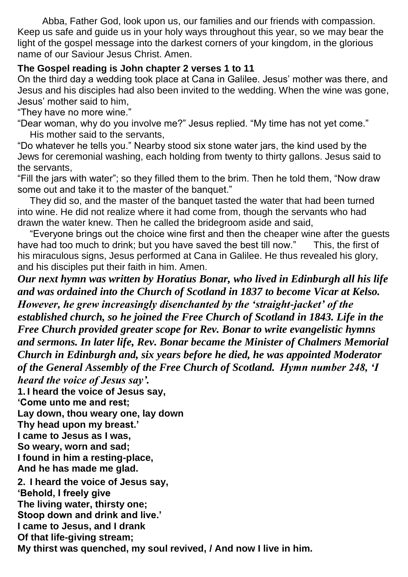Abba, Father God, look upon us, our families and our friends with compassion. Keep us safe and guide us in your holy ways throughout this year, so we may bear the light of the gospel message into the darkest corners of your kingdom, in the glorious name of our Saviour Jesus Christ. Amen.

## **The Gospel reading is John chapter 2 verses 1 to 11**

On the third day a wedding took place at Cana in Galilee. Jesus' mother was there, and Jesus and his disciples had also been invited to the wedding. When the wine was gone, Jesus' mother said to him,

"They have no more wine."

"Dear woman, why do you involve me?" Jesus replied. "My time has not yet come." His mother said to the servants,

"Do whatever he tells you." Nearby stood six stone water jars, the kind used by the Jews for ceremonial washing, each holding from twenty to thirty gallons. Jesus said to the servants,

"Fill the jars with water"; so they filled them to the brim. Then he told them, "Now draw some out and take it to the master of the banquet."

They did so, and the master of the banquet tasted the water that had been turned into wine. He did not realize where it had come from, though the servants who had drawn the water knew. Then he called the bridegroom aside and said,

"Everyone brings out the choice wine first and then the cheaper wine after the guests have had too much to drink; but you have saved the best till now." This, the first of his miraculous signs, Jesus performed at Cana in Galilee. He thus revealed his glory, and his disciples put their faith in him. Amen.

*Our next hymn was written by Horatius Bonar, who lived in Edinburgh all his life and was ordained into the Church of Scotland in 1837 to become Vicar at Kelso. However, he grew increasingly disenchanted by the 'straight-jacket' of the established church, so he joined the Free Church of Scotland in 1843. Life in the Free Church provided greater scope for Rev. Bonar to write evangelistic hymns and sermons. In later life, Rev. Bonar became the Minister of Chalmers Memorial Church in Edinburgh and, six years before he died, he was appointed Moderator of the General Assembly of the Free Church of Scotland. Hymn number 248, 'I heard the voice of Jesus say'.*

**1. I heard the voice of Jesus say,**

**'Come unto me and rest;**

**Lay down, thou weary one, lay down**

**Thy head upon my breast.'**

**I came to Jesus as I was,**

**So weary, worn and sad;**

**I found in him a resting-place,**

**And he has made me glad.**

**2. I heard the voice of Jesus say,**

**'Behold, I freely give**

**The living water, thirsty one; Stoop down and drink and live.'**

**I came to Jesus, and I drank**

**Of that life-giving stream;**

**My thirst was quenched, my soul revived, / And now I live in him.**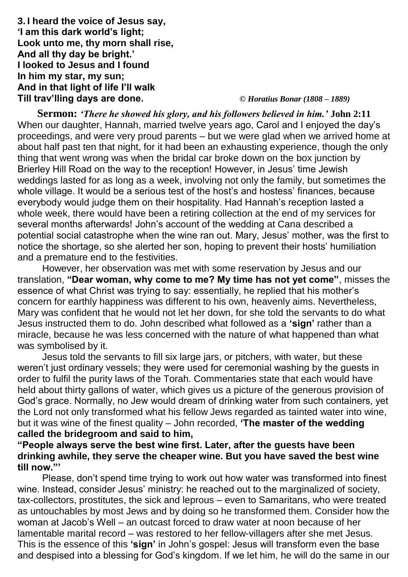**3. I heard the voice of Jesus say, 'I am this dark world's light; Look unto me, thy morn shall rise, And all thy day be bright.' I looked to Jesus and I found In him my star, my sun; And in that light of life I'll walk Till trav'lling days are done.** *© Horatius Bonar (1808 – 1889)*

**Sermon:** *'There he showed his glory, and his followers believed in him.'* **John 2:11** When our daughter, Hannah, married twelve years ago, Carol and I enjoyed the day's proceedings, and were very proud parents – but we were glad when we arrived home at about half past ten that night, for it had been an exhausting experience, though the only thing that went wrong was when the bridal car broke down on the box junction by Brierley Hill Road on the way to the reception! However, in Jesus' time Jewish weddings lasted for as long as a week, involving not only the family, but sometimes the whole village. It would be a serious test of the host's and hostess' finances, because everybody would judge them on their hospitality. Had Hannah's reception lasted a whole week, there would have been a retiring collection at the end of my services for several months afterwards! John's account of the wedding at Cana described a potential social catastrophe when the wine ran out. Mary, Jesus' mother, was the first to notice the shortage, so she alerted her son, hoping to prevent their hosts' humiliation and a premature end to the festivities.

However, her observation was met with some reservation by Jesus and our translation, **"Dear woman, why come to me? My time has not yet come"**, misses the essence of what Christ was trying to say: essentially, he replied that his mother's concern for earthly happiness was different to his own, heavenly aims. Nevertheless, Mary was confident that he would not let her down, for she told the servants to do what Jesus instructed them to do. John described what followed as a **'sign'** rather than a miracle, because he was less concerned with the nature of what happened than what was symbolised by it.

Jesus told the servants to fill six large jars, or pitchers, with water, but these weren't just ordinary vessels; they were used for ceremonial washing by the guests in order to fulfil the purity laws of the Torah. Commentaries state that each would have held about thirty gallons of water, which gives us a picture of the generous provision of God's grace. Normally, no Jew would dream of drinking water from such containers, yet the Lord not only transformed what his fellow Jews regarded as tainted water into wine, but it was wine of the finest quality – John recorded, **'The master of the wedding called the bridegroom and said to him,** 

### **"People always serve the best wine first. Later, after the guests have been drinking awhile, they serve the cheaper wine. But you have saved the best wine till now."'**

Please, don't spend time trying to work out how water was transformed into finest wine. Instead, consider Jesus' ministry: he reached out to the marginalized of society, tax-collectors, prostitutes, the sick and leprous – even to Samaritans, who were treated as untouchables by most Jews and by doing so he transformed them. Consider how the woman at Jacob's Well – an outcast forced to draw water at noon because of her lamentable marital record – was restored to her fellow-villagers after she met Jesus. This is the essence of this **'sign'** in John's gospel: Jesus will transform even the base and despised into a blessing for God's kingdom. If we let him, he will do the same in our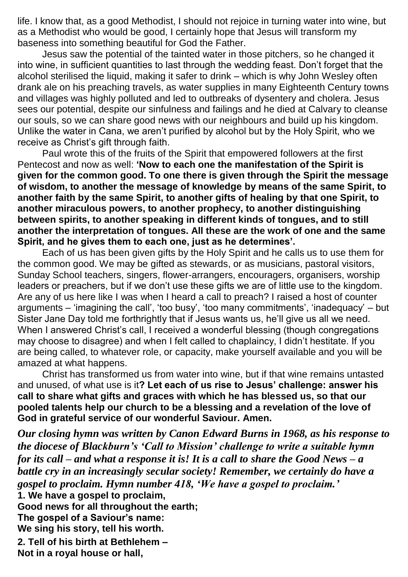life. I know that, as a good Methodist, I should not rejoice in turning water into wine, but as a Methodist who would be good, I certainly hope that Jesus will transform my baseness into something beautiful for God the Father.

Jesus saw the potential of the tainted water in those pitchers, so he changed it into wine, in sufficient quantities to last through the wedding feast. Don't forget that the alcohol sterilised the liquid, making it safer to drink – which is why John Wesley often drank ale on his preaching travels, as water supplies in many Eighteenth Century towns and villages was highly polluted and led to outbreaks of dysentery and cholera. Jesus sees our potential, despite our sinfulness and failings and he died at Calvary to cleanse our souls, so we can share good news with our neighbours and build up his kingdom. Unlike the water in Cana, we aren't purified by alcohol but by the Holy Spirit, who we receive as Christ's gift through faith.

Paul wrote this of the fruits of the Spirit that empowered followers at the first Pentecost and now as well: **'Now to each one the manifestation of the Spirit is given for the common good. To one there is given through the Spirit the message of wisdom, to another the message of knowledge by means of the same Spirit, to another faith by the same Spirit, to another gifts of healing by that one Spirit, to another miraculous powers, to another prophecy, to another distinguishing between spirits, to another speaking in different kinds of tongues, and to still another the interpretation of tongues. All these are the work of one and the same Spirit, and he gives them to each one, just as he determines'.**

Each of us has been given gifts by the Holy Spirit and he calls us to use them for the common good. We may be gifted as stewards, or as musicians, pastoral visitors, Sunday School teachers, singers, flower-arrangers, encouragers, organisers, worship leaders or preachers, but if we don't use these gifts we are of little use to the kingdom. Are any of us here like I was when I heard a call to preach? I raised a host of counter arguments – 'imagining the call', 'too busy', 'too many commitments', 'inadequacy' – but Sister Jane Day told me forthrightly that if Jesus wants us, he'll give us all we need. When I answered Christ's call, I received a wonderful blessing (though congregations may choose to disagree) and when I felt called to chaplaincy, I didn't hestitate. If you are being called, to whatever role, or capacity, make yourself available and you will be amazed at what happens.

Christ has transformed us from water into wine, but if that wine remains untasted and unused, of what use is it**? Let each of us rise to Jesus' challenge: answer his call to share what gifts and graces with which he has blessed us, so that our pooled talents help our church to be a blessing and a revelation of the love of God in grateful service of our wonderful Saviour. Amen.**

*Our closing hymn was written by Canon Edward Burns in 1968, as his response to the diocese of Blackburn's 'Call to Mission' challenge to write a suitable hymn for its call – and what a response it is! It is a call to share the Good News – a battle cry in an increasingly secular society! Remember, we certainly do have a gospel to proclaim. Hymn number 418, 'We have a gospel to proclaim.'*

**1. We have a gospel to proclaim, Good news for all throughout the earth; The gospel of a Saviour's name: We sing his story, tell his worth.**

**2. Tell of his birth at Bethlehem – Not in a royal house or hall,**